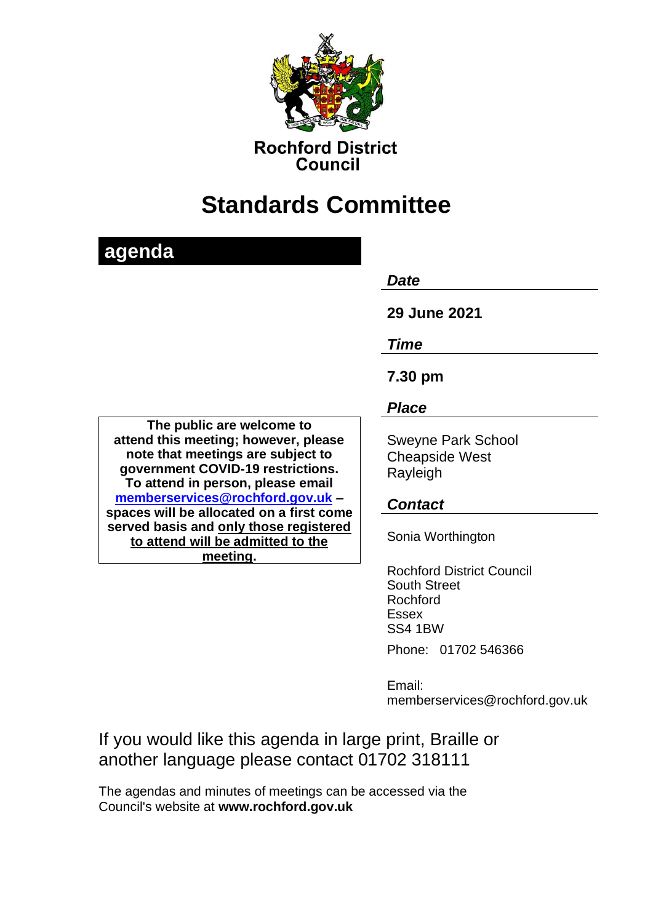

**Rochford District** Council

# **Standards Committee**

| agenda                                                                                                                                                                           |                                                                |
|----------------------------------------------------------------------------------------------------------------------------------------------------------------------------------|----------------------------------------------------------------|
|                                                                                                                                                                                  | Date                                                           |
|                                                                                                                                                                                  | 29 June 2021                                                   |
|                                                                                                                                                                                  | Time                                                           |
|                                                                                                                                                                                  | 7.30 pm                                                        |
|                                                                                                                                                                                  | <b>Place</b>                                                   |
| The public are welcome to<br>attend this meeting; however, please<br>note that meetings are subject to<br>government COVID-19 restrictions.<br>To attend in person, please email | <b>Sweyne Park School</b><br><b>Cheapside West</b><br>Rayleigh |
| memberservices@rochford.gov.uk -<br>spaces will be allocated on a first come                                                                                                     | <b>Contact</b>                                                 |
| served basis and only those registered<br>to attend will be admitted to the<br>meeting.                                                                                          | Sonia Worthington                                              |
|                                                                                                                                                                                  | <b>Rochford District Council</b>                               |

South Street Rochford Essex SS4 1BW Phone: 01702 546366

Email: memberservices@rochford.gov.uk

If you would like this agenda in large print, Braille or another language please contact 01702 318111

The agendas and minutes of meetings can be accessed via the Council's website at **[www.rochford.gov.uk](http://www.rochford.gov.uk/)**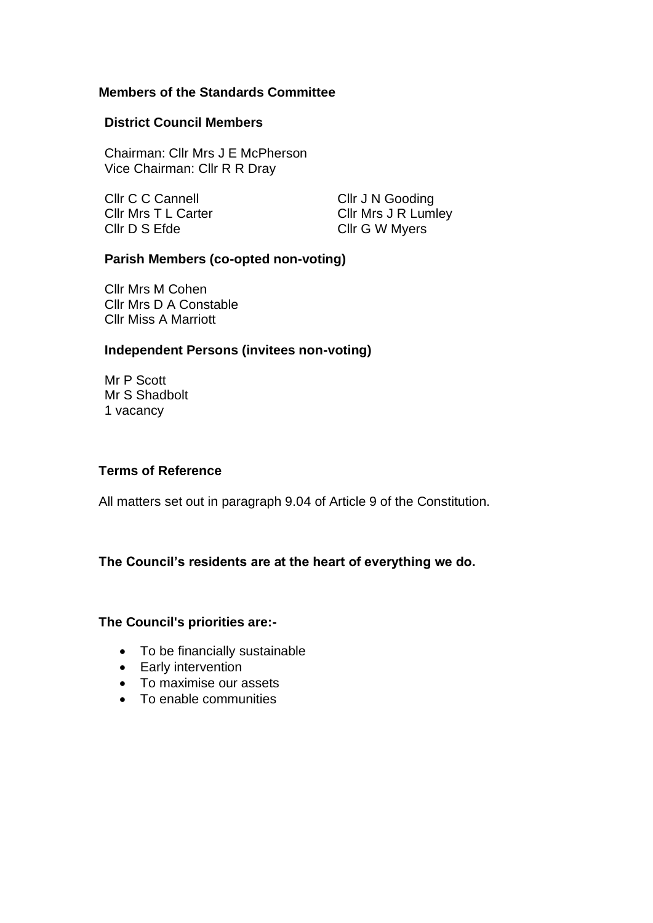## **Members of the Standards Committee**

#### **District Council Members**

Chairman: Cllr Mrs J E McPherson Vice Chairman: Cllr R R Dray

Cllr C C Cannell Cllr J N Gooding Cllr D S Efde Cllr G W Myers

Cllr Mrs T L Carter Cllr Mrs J R Lumley

## **Parish Members (co-opted non-voting)**

Cllr Mrs M Cohen Cllr Mrs D A Constable Cllr Miss A Marriott

## **Independent Persons (invitees non-voting)**

Mr P Scott Mr S Shadbolt 1 vacancy

#### **Terms of Reference**

All matters set out in paragraph 9.04 of Article 9 of the Constitution.

# **The Council's residents are at the heart of everything we do.**

#### **The Council's priorities are:-**

- To be financially sustainable
- Early intervention
- To maximise our assets
- To enable communities